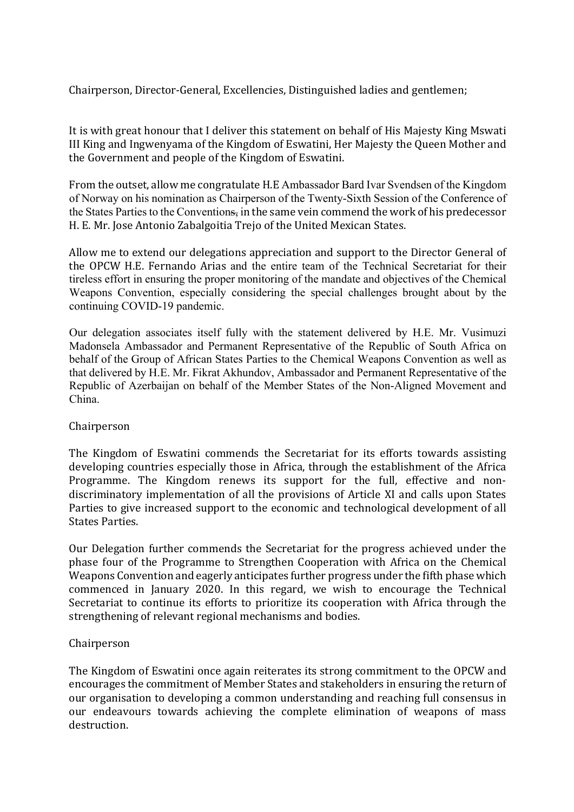Chairperson, Director-General, Excellencies, Distinguished ladies and gentlemen;

It is with great honour that I deliver this statement on behalf of His Majesty King Mswati III King and Ingwenyama of the Kingdom of Eswatini, Her Majesty the Queen Mother and the Government and people of the Kingdom of Eswatini.

From the outset, allow me congratulate H.E Ambassador Bard Ivar Svendsen of the Kingdom of Norway on his nomination as Chairperson of the Twenty-Sixth Session of the Conference of the States Parties to the Conventions, in the same vein commend the work of his predecessor H. E. Mr. Jose Antonio Zabalgoitia Trejo of the United Mexican States.

Allow me to extend our delegations appreciation and support to the Director General of the OPCW H.E. Fernando Arias and the entire team of the Technical Secretariat for their tireless effort in ensuring the proper monitoring of the mandate and objectives of the Chemical Weapons Convention, especially considering the special challenges brought about by the continuing COVID-19 pandemic.

Our delegation associates itself fully with the statement delivered by H.E. Mr. Vusimuzi Madonsela Ambassador and Permanent Representative of the Republic of South Africa on behalf of the Group of African States Parties to the Chemical Weapons Convention as well as that delivered by H.E. Mr. Fikrat Akhundov, Ambassador and Permanent Representative of the Republic of Azerbaijan on behalf of the Member States of the Non-Aligned Movement and China.

## Chairperson

The Kingdom of Eswatini commends the Secretariat for its efforts towards assisting developing countries especially those in Africa, through the establishment of the Africa Programme. The Kingdom renews its support for the full, effective and nondiscriminatory implementation of all the provisions of Article XI and calls upon States Parties to give increased support to the economic and technological development of all States Parties.

Our Delegation further commends the Secretariat for the progress achieved under the phase four of the Programme to Strengthen Cooperation with Africa on the Chemical Weapons Convention and eagerly anticipates further progress under the fifth phase which commenced in January 2020. In this regard, we wish to encourage the Technical Secretariat to continue its efforts to prioritize its cooperation with Africa through the strengthening of relevant regional mechanisms and bodies.

## Chairperson

The Kingdom of Eswatini once again reiterates its strong commitment to the OPCW and encourages the commitment of Member States and stakeholders in ensuring the return of our organisation to developing a common understanding and reaching full consensus in our endeavours towards achieving the complete elimination of weapons of mass destruction.